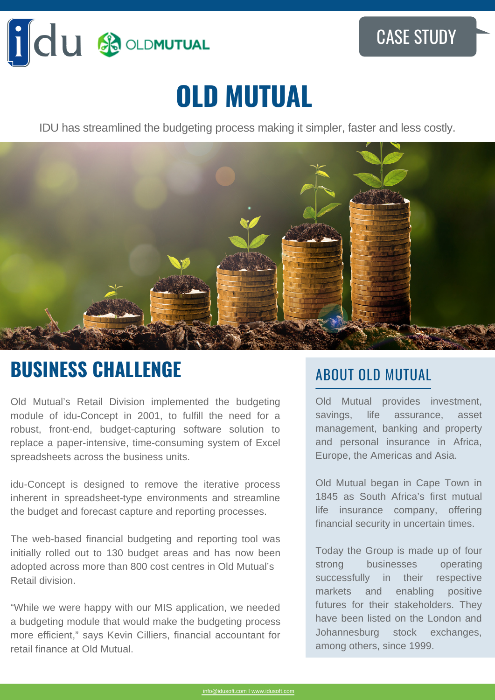

# **OLD MUTUAL**

IDU has streamlined the budgeting process making it simpler, faster and less costly.



### **BUSINESS CHALLENGE**

Old Mutual's Retail Division implemented the budgeting module of idu-Concept in 2001, to fulfill the need for a robust, front-end, budget-capturing software solution to replace a paper-intensive, time-consuming system of Excel spreadsheets across the business units.

idu-Concept is designed to remove the iterative process inherent in spreadsheet-type environments and streamline the budget and forecast capture and reporting processes.

The web-based financial budgeting and reporting tool was initially rolled out to 130 budget areas and has now been adopted across more than 800 cost centres in Old Mutual's Retail division.

"While we were happy with our MIS application, we needed a budgeting module that would make the budgeting process more efficient," says Kevin Cilliers, financial accountant for retail finance at Old Mutual.

#### ABOUT OLD MUTUAL

Old Mutual provides investment, savings, life assurance, asset management, banking and property and personal insurance in Africa, Europe, the Americas and Asia.

Old Mutual began in Cape Town in 1845 as South Africa's first mutual life insurance company, offering financial security in uncertain times.

Today the Group is made up of four strong businesses operating successfully in their respective markets and enabling positive futures for their stakeholders. They have been listed on the London and Johannesburg stock exchanges, among others, since 1999.